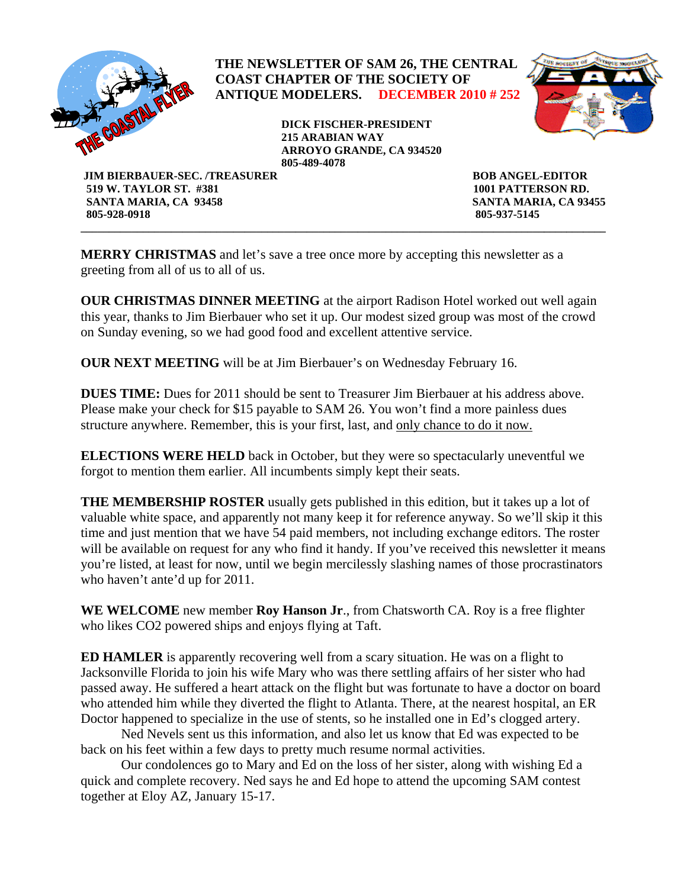

 **SANTA MARIA, CA 93458 SANTA MARIA, CA 93455 805-928-0918 805-937-5145** 

**MERRY CHRISTMAS** and let's save a tree once more by accepting this newsletter as a greeting from all of us to all of us.

**OUR CHRISTMAS DINNER MEETING** at the airport Radison Hotel worked out well again this year, thanks to Jim Bierbauer who set it up. Our modest sized group was most of the crowd on Sunday evening, so we had good food and excellent attentive service.

**\_\_\_\_\_\_\_\_\_\_\_\_\_\_\_\_\_\_\_\_\_\_\_\_\_\_\_\_\_\_\_\_\_\_\_\_\_\_\_\_\_\_\_\_\_\_\_\_\_\_\_\_\_\_\_\_\_\_\_\_\_\_\_\_\_\_\_\_\_\_\_\_\_\_\_\_\_\_\_\_\_\_\_\_\_\_\_\_\_\_\_\_\_** 

**OUR NEXT MEETING** will be at Jim Bierbauer's on Wednesday February 16.

**DUES TIME:** Dues for 2011 should be sent to Treasurer Jim Bierbauer at his address above. Please make your check for \$15 payable to SAM 26. You won't find a more painless dues structure anywhere. Remember, this is your first, last, and only chance to do it now.

**ELECTIONS WERE HELD** back in October, but they were so spectacularly uneventful we forgot to mention them earlier. All incumbents simply kept their seats.

**THE MEMBERSHIP ROSTER** usually gets published in this edition, but it takes up a lot of valuable white space, and apparently not many keep it for reference anyway. So we'll skip it this time and just mention that we have 54 paid members, not including exchange editors. The roster will be available on request for any who find it handy. If you've received this newsletter it means you're listed, at least for now, until we begin mercilessly slashing names of those procrastinators who haven't ante'd up for 2011.

**WE WELCOME** new member **Roy Hanson Jr**., from Chatsworth CA. Roy is a free flighter who likes CO2 powered ships and enjoys flying at Taft.

**ED HAMLER** is apparently recovering well from a scary situation. He was on a flight to Jacksonville Florida to join his wife Mary who was there settling affairs of her sister who had passed away. He suffered a heart attack on the flight but was fortunate to have a doctor on board who attended him while they diverted the flight to Atlanta. There, at the nearest hospital, an ER Doctor happened to specialize in the use of stents, so he installed one in Ed's clogged artery.

 Ned Nevels sent us this information, and also let us know that Ed was expected to be back on his feet within a few days to pretty much resume normal activities.

 Our condolences go to Mary and Ed on the loss of her sister, along with wishing Ed a quick and complete recovery. Ned says he and Ed hope to attend the upcoming SAM contest together at Eloy AZ, January 15-17.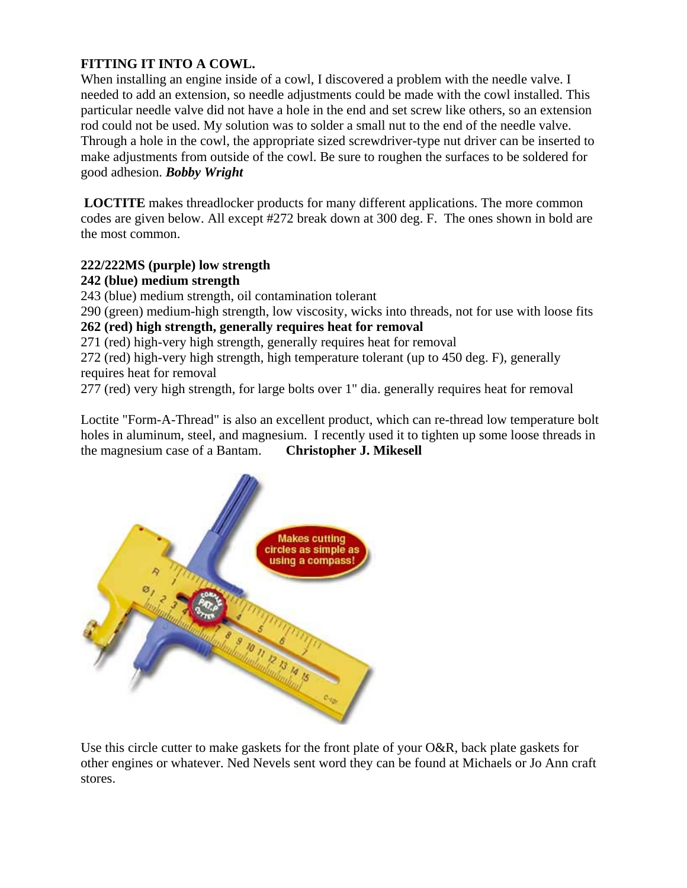# **FITTING IT INTO A COWL.**

When installing an engine inside of a cowl, I discovered a problem with the needle valve. I needed to add an extension, so needle adjustments could be made with the cowl installed. This particular needle valve did not have a hole in the end and set screw like others, so an extension rod could not be used. My solution was to solder a small nut to the end of the needle valve. Through a hole in the cowl, the appropriate sized screwdriver-type nut driver can be inserted to make adjustments from outside of the cowl. Be sure to roughen the surfaces to be soldered for good adhesion. *Bobby Wright*

 **LOCTITE** makes threadlocker products for many different applications. The more common codes are given below. All except #272 break down at 300 deg. F. The ones shown in bold are the most common.

## **222/222MS (purple) low strength**

## **242 (blue) medium strength**

243 (blue) medium strength, oil contamination tolerant

290 (green) medium-high strength, low viscosity, wicks into threads, not for use with loose fits **262 (red) high strength, generally requires heat for removal**

271 (red) high-very high strength, generally requires heat for removal

272 (red) high-very high strength, high temperature tolerant (up to 450 deg. F), generally requires heat for removal

277 (red) very high strength, for large bolts over 1" dia. generally requires heat for removal

Loctite "Form-A-Thread" is also an excellent product, which can re-thread low temperature bolt holes in aluminum, steel, and magnesium. I recently used it to tighten up some loose threads in the magnesium case of a Bantam. **Christopher J. Mikesell** 



Use this circle cutter to make gaskets for the front plate of your O&R, back plate gaskets for other engines or whatever. Ned Nevels sent word they can be found at Michaels or Jo Ann craft stores.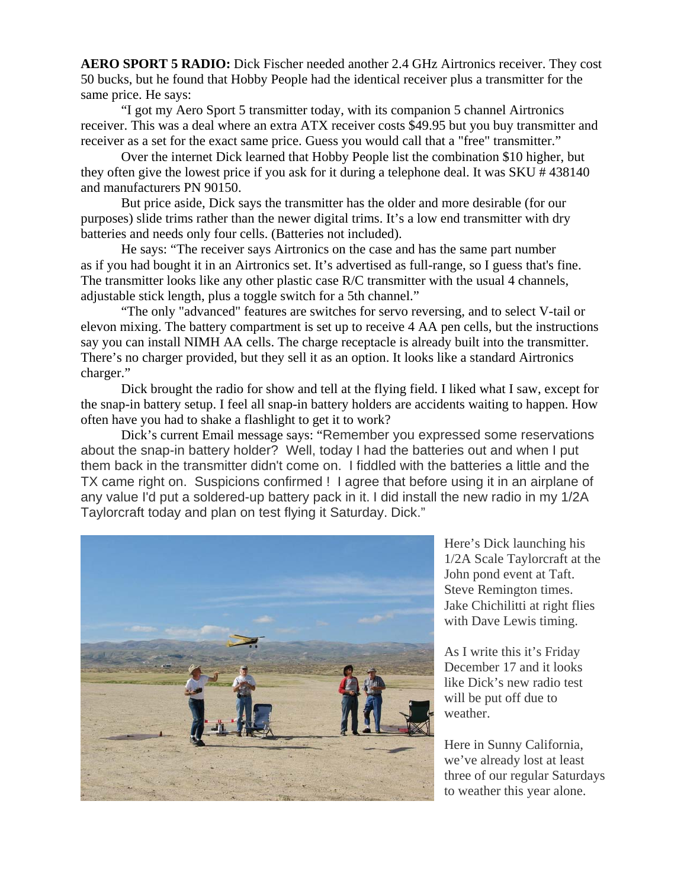**AERO SPORT 5 RADIO:** Dick Fischer needed another 2.4 GHz Airtronics receiver. They cost 50 bucks, but he found that Hobby People had the identical receiver plus a transmitter for the same price. He says:

"I got my Aero Sport 5 transmitter today, with its companion 5 channel Airtronics receiver. This was a deal where an extra ATX receiver costs \$49.95 but you buy transmitter and receiver as a set for the exact same price. Guess you would call that a "free" transmitter."

 Over the internet Dick learned that Hobby People list the combination \$10 higher, but they often give the lowest price if you ask for it during a telephone deal. It was SKU # 438140 and manufacturers PN 90150.

But price aside, Dick says the transmitter has the older and more desirable (for our purposes) slide trims rather than the newer digital trims. It's a low end transmitter with dry batteries and needs only four cells. (Batteries not included).

He says: "The receiver says Airtronics on the case and has the same part number as if you had bought it in an Airtronics set. It's advertised as full-range, so I guess that's fine. The transmitter looks like any other plastic case R/C transmitter with the usual 4 channels, adjustable stick length, plus a toggle switch for a 5th channel."

"The only "advanced" features are switches for servo reversing, and to select V-tail or elevon mixing. The battery compartment is set up to receive 4 AA pen cells, but the instructions say you can install NIMH AA cells. The charge receptacle is already built into the transmitter. There's no charger provided, but they sell it as an option. It looks like a standard Airtronics charger."

 Dick brought the radio for show and tell at the flying field. I liked what I saw, except for the snap-in battery setup. I feel all snap-in battery holders are accidents waiting to happen. How often have you had to shake a flashlight to get it to work?

Dick's current Email message says: "Remember you expressed some reservations about the snap-in battery holder? Well, today I had the batteries out and when I put them back in the transmitter didn't come on. I fiddled with the batteries a little and the TX came right on. Suspicions confirmed ! I agree that before using it in an airplane of any value I'd put a soldered-up battery pack in it. I did install the new radio in my 1/2A Taylorcraft today and plan on test flying it Saturday. Dick."



Here's Dick launching his 1/2A Scale Taylorcraft at the John pond event at Taft. Steve Remington times. Jake Chichilitti at right flies with Dave Lewis timing.

As I write this it's Friday December 17 and it looks like Dick's new radio test will be put off due to weather.

Here in Sunny California, we've already lost at least three of our regular Saturdays to weather this year alone.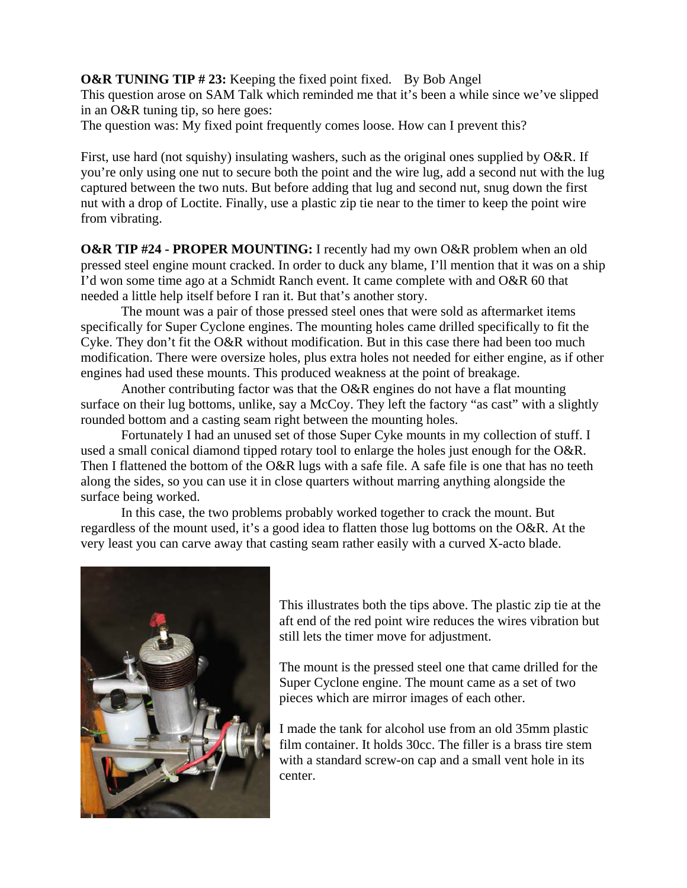**O&R TUNING TIP #23:** Keeping the fixed point fixed. By Bob Angel This question arose on SAM Talk which reminded me that it's been a while since we've slipped in an O&R tuning tip, so here goes:

The question was: My fixed point frequently comes loose. How can I prevent this?

First, use hard (not squishy) insulating washers, such as the original ones supplied by O&R. If you're only using one nut to secure both the point and the wire lug, add a second nut with the lug captured between the two nuts. But before adding that lug and second nut, snug down the first nut with a drop of Loctite. Finally, use a plastic zip tie near to the timer to keep the point wire from vibrating.

**O&R TIP #24 - PROPER MOUNTING:** I recently had my own O&R problem when an old pressed steel engine mount cracked. In order to duck any blame, I'll mention that it was on a ship I'd won some time ago at a Schmidt Ranch event. It came complete with and O&R 60 that needed a little help itself before I ran it. But that's another story.

The mount was a pair of those pressed steel ones that were sold as aftermarket items specifically for Super Cyclone engines. The mounting holes came drilled specifically to fit the Cyke. They don't fit the O&R without modification. But in this case there had been too much modification. There were oversize holes, plus extra holes not needed for either engine, as if other engines had used these mounts. This produced weakness at the point of breakage.

Another contributing factor was that the O&R engines do not have a flat mounting surface on their lug bottoms, unlike, say a McCoy. They left the factory "as cast" with a slightly rounded bottom and a casting seam right between the mounting holes.

Fortunately I had an unused set of those Super Cyke mounts in my collection of stuff. I used a small conical diamond tipped rotary tool to enlarge the holes just enough for the O&R. Then I flattened the bottom of the O&R lugs with a safe file. A safe file is one that has no teeth along the sides, so you can use it in close quarters without marring anything alongside the surface being worked.

In this case, the two problems probably worked together to crack the mount. But regardless of the mount used, it's a good idea to flatten those lug bottoms on the O&R. At the very least you can carve away that casting seam rather easily with a curved X-acto blade.



This illustrates both the tips above. The plastic zip tie at the aft end of the red point wire reduces the wires vibration but still lets the timer move for adjustment.

The mount is the pressed steel one that came drilled for the Super Cyclone engine. The mount came as a set of two pieces which are mirror images of each other.

I made the tank for alcohol use from an old 35mm plastic film container. It holds 30cc. The filler is a brass tire stem with a standard screw-on cap and a small vent hole in its center.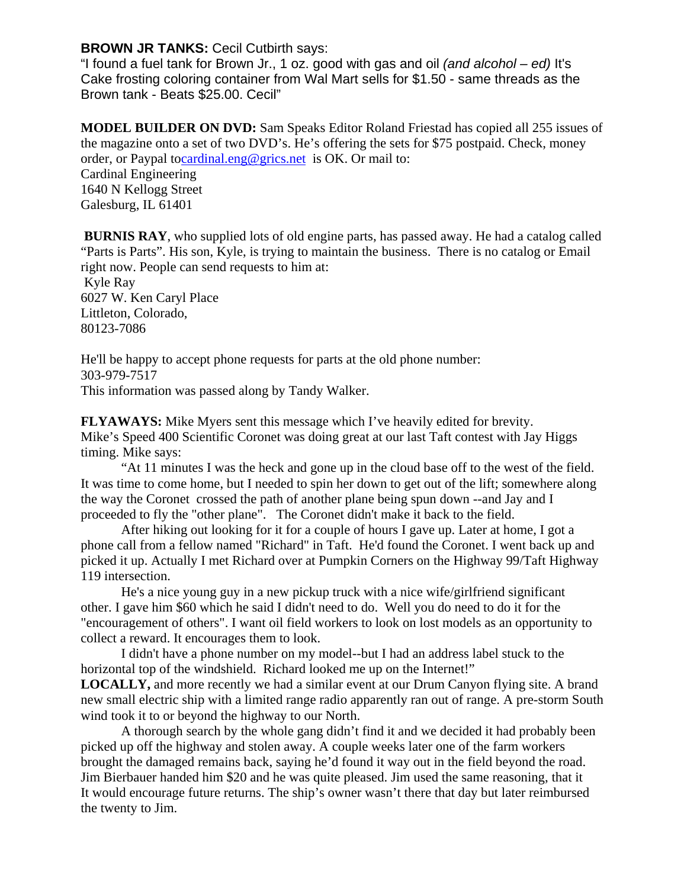## **BROWN JR TANKS:** Cecil Cutbirth says:

"I found a fuel tank for Brown Jr., 1 oz. good with gas and oil *(and alcohol – ed)* It's Cake frosting coloring container from Wal Mart sells for \$1.50 - same threads as the Brown tank - Beats \$25.00. Cecil"

**MODEL BUILDER ON DVD:** Sam Speaks Editor Roland Friestad has copied all 255 issues of the magazine onto a set of two DVD's. He's offering the sets for \$75 postpaid. Check, money order, or Paypal t[ocardinal.eng@grics.net](http://webmail.verizon.com/netmail/%22http:/mailto:cardinal.eng@grics.net%22) is OK. Or mail to: Cardinal Engineering

1640 N Kellogg Street Galesburg, IL 61401

 **BURNIS RAY**, who supplied lots of old engine parts, has passed away. He had a catalog called "Parts is Parts". His son, Kyle, is trying to maintain the business. There is no catalog or Email right now. People can send requests to him at:

 Kyle Ray 6027 W. Ken Caryl Place Littleton, Colorado, 80123-7086

He'll be happy to accept phone requests for parts at the old phone number: 303-979-7517 This information was passed along by Tandy Walker.

**FLYAWAYS:** Mike Myers sent this message which I've heavily edited for brevity. Mike's Speed 400 Scientific Coronet was doing great at our last Taft contest with Jay Higgs timing. Mike says:

"At 11 minutes I was the heck and gone up in the cloud base off to the west of the field. It was time to come home, but I needed to spin her down to get out of the lift; somewhere along the way the Coronet crossed the path of another plane being spun down --and Jay and I proceeded to fly the "other plane". The Coronet didn't make it back to the field.

 After hiking out looking for it for a couple of hours I gave up. Later at home, I got a phone call from a fellow named "Richard" in Taft. He'd found the Coronet. I went back up and picked it up. Actually I met Richard over at Pumpkin Corners on the Highway 99/Taft Highway 119 intersection.

He's a nice young guy in a new pickup truck with a nice wife/girlfriend significant other. I gave him \$60 which he said I didn't need to do. Well you do need to do it for the "encouragement of others". I want oil field workers to look on lost models as an opportunity to collect a reward. It encourages them to look.

I didn't have a phone number on my model--but I had an address label stuck to the horizontal top of the windshield. Richard looked me up on the Internet!"

**LOCALLY,** and more recently we had a similar event at our Drum Canyon flying site. A brand new small electric ship with a limited range radio apparently ran out of range. A pre-storm South wind took it to or beyond the highway to our North.

A thorough search by the whole gang didn't find it and we decided it had probably been picked up off the highway and stolen away. A couple weeks later one of the farm workers brought the damaged remains back, saying he'd found it way out in the field beyond the road. Jim Bierbauer handed him \$20 and he was quite pleased. Jim used the same reasoning, that it It would encourage future returns. The ship's owner wasn't there that day but later reimbursed the twenty to Jim.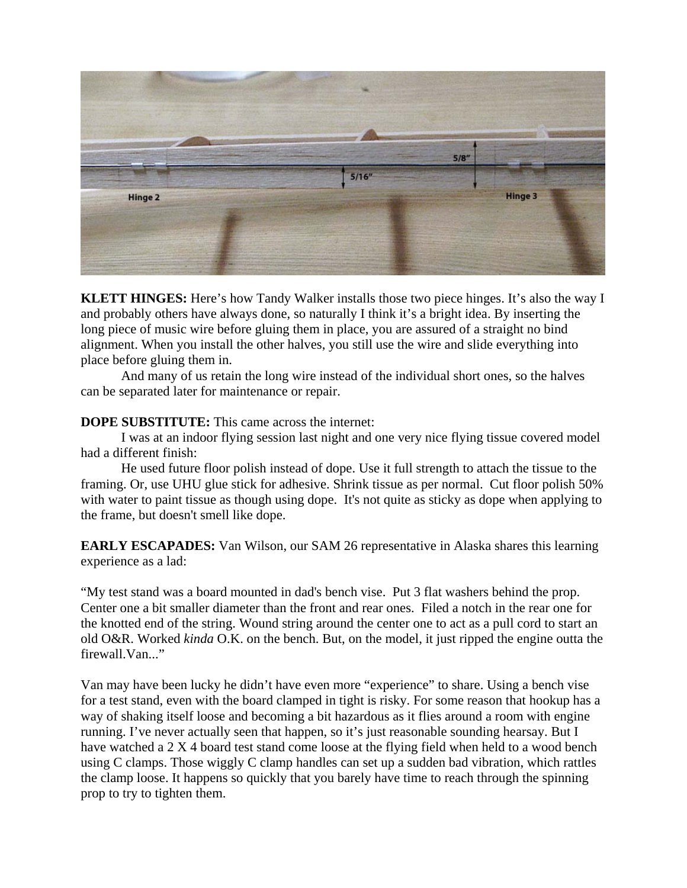

**KLETT HINGES:** Here's how Tandy Walker installs those two piece hinges. It's also the way I and probably others have always done, so naturally I think it's a bright idea. By inserting the long piece of music wire before gluing them in place, you are assured of a straight no bind alignment. When you install the other halves, you still use the wire and slide everything into place before gluing them in.

 And many of us retain the long wire instead of the individual short ones, so the halves can be separated later for maintenance or repair.

### **DOPE SUBSTITUTE:** This came across the internet:

I was at an indoor flying session last night and one very nice flying tissue covered model had a different finish:

He used future floor polish instead of dope. Use it full strength to attach the tissue to the framing. Or, use UHU glue stick for adhesive. Shrink tissue as per normal. Cut floor polish 50% with water to paint tissue as though using dope. It's not quite as sticky as dope when applying to the frame, but doesn't smell like dope.

**EARLY ESCAPADES:** Van Wilson, our SAM 26 representative in Alaska shares this learning experience as a lad:

"My test stand was a board mounted in dad's bench vise. Put 3 flat washers behind the prop. Center one a bit smaller diameter than the front and rear ones. Filed a notch in the rear one for the knotted end of the string. Wound string around the center one to act as a pull cord to start an old O&R. Worked *kinda* O.K. on the bench. But, on the model, it just ripped the engine outta the firewall.Van..."

Van may have been lucky he didn't have even more "experience" to share. Using a bench vise for a test stand, even with the board clamped in tight is risky. For some reason that hookup has a way of shaking itself loose and becoming a bit hazardous as it flies around a room with engine running. I've never actually seen that happen, so it's just reasonable sounding hearsay. But I have watched a 2 X 4 board test stand come loose at the flying field when held to a wood bench using C clamps. Those wiggly C clamp handles can set up a sudden bad vibration, which rattles the clamp loose. It happens so quickly that you barely have time to reach through the spinning prop to try to tighten them.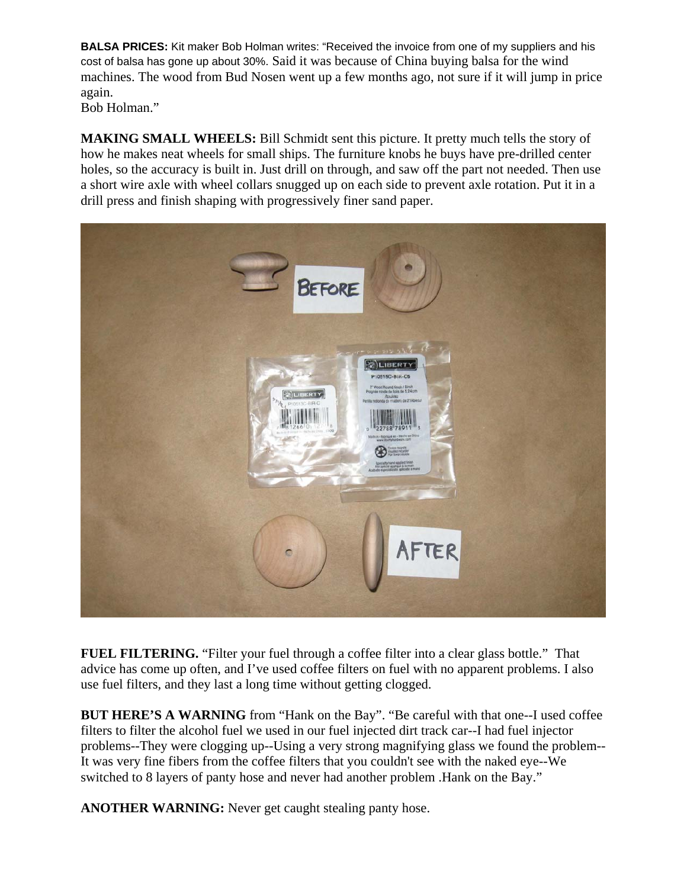**BALSA PRICES:** Kit maker Bob Holman writes: "Received the invoice from one of my suppliers and his cost of balsa has gone up about 30%. Said it was because of China buying balsa for the wind machines. The wood from Bud Nosen went up a few months ago, not sure if it will jump in price again.

Bob Holman."

**MAKING SMALL WHEELS:** Bill Schmidt sent this picture. It pretty much tells the story of how he makes neat wheels for small ships. The furniture knobs he buys have pre-drilled center holes, so the accuracy is built in. Just drill on through, and saw off the part not needed. Then use a short wire axle with wheel collars snugged up on each side to prevent axle rotation. Put it in a drill press and finish shaping with progressively finer sand paper.



**FUEL FILTERING.** "Filter your fuel through a coffee filter into a clear glass bottle." That advice has come up often, and I've used coffee filters on fuel with no apparent problems. I also use fuel filters, and they last a long time without getting clogged.

**BUT HERE'S A WARNING** from "Hank on the Bay". "Be careful with that one--I used coffee filters to filter the alcohol fuel we used in our fuel injected dirt track car--I had fuel injector problems--They were clogging up--Using a very strong magnifying glass we found the problem-- It was very fine fibers from the coffee filters that you couldn't see with the naked eye--We switched to 8 layers of panty hose and never had another problem .Hank on the Bay."

**ANOTHER WARNING:** Never get caught stealing panty hose.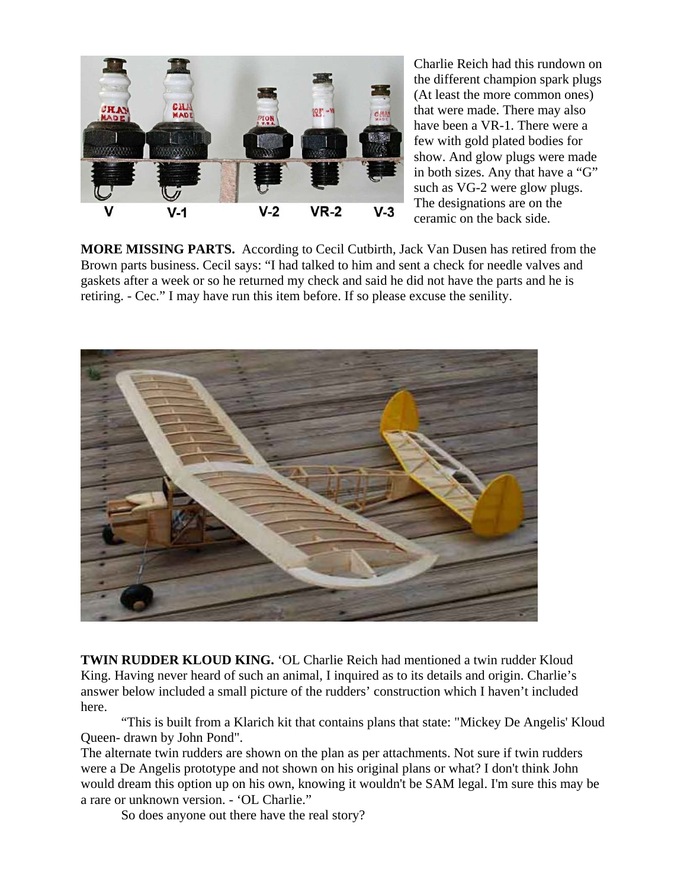

Charlie Reich had this rundown on the different champion spark plugs (At least the more common ones) that were made. There may also have been a VR-1. There were a few with gold plated bodies for show. And glow plugs were made in both sizes. Any that have a "G" such as VG-2 were glow plugs. The designations are on the ceramic on the back side.

**MORE MISSING PARTS.** According to Cecil Cutbirth, Jack Van Dusen has retired from the Brown parts business. Cecil says: "I had talked to him and sent a check for needle valves and gaskets after a week or so he returned my check and said he did not have the parts and he is retiring. - Cec." I may have run this item before. If so please excuse the senility.



**TWIN RUDDER KLOUD KING.** 'OL Charlie Reich had mentioned a twin rudder Kloud King. Having never heard of such an animal, I inquired as to its details and origin. Charlie's answer below included a small picture of the rudders' construction which I haven't included here.

"This is built from a Klarich kit that contains plans that state: "Mickey De Angelis' Kloud Queen- drawn by John Pond".

The alternate twin rudders are shown on the plan as per attachments. Not sure if twin rudders were a De Angelis prototype and not shown on his original plans or what? I don't think John would dream this option up on his own, knowing it wouldn't be SAM legal. I'm sure this may be a rare or unknown version. - 'OL Charlie."

So does anyone out there have the real story?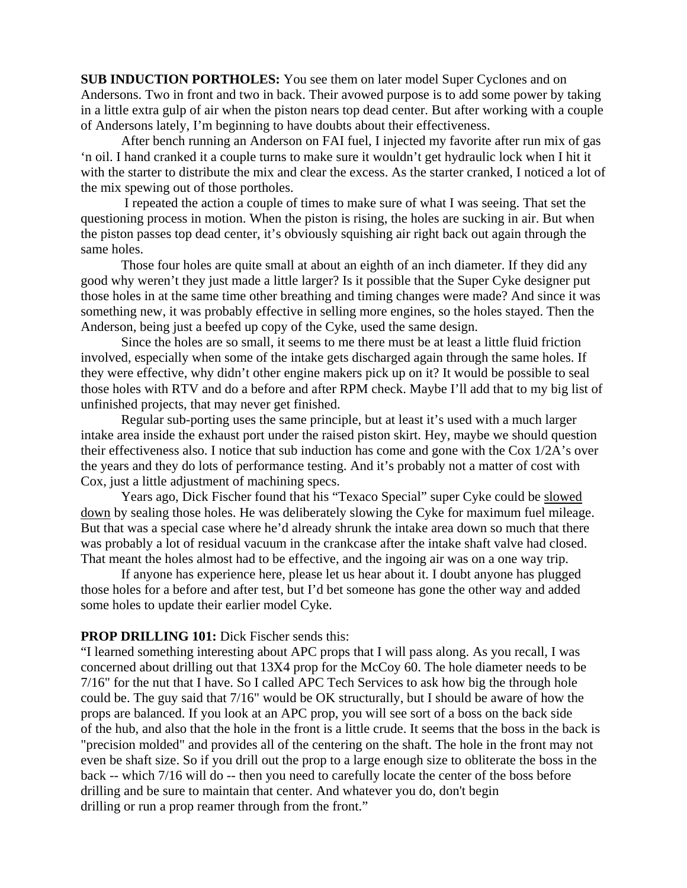**SUB INDUCTION PORTHOLES:** You see them on later model Super Cyclones and on Andersons. Two in front and two in back. Their avowed purpose is to add some power by taking in a little extra gulp of air when the piston nears top dead center. But after working with a couple of Andersons lately, I'm beginning to have doubts about their effectiveness.

 After bench running an Anderson on FAI fuel, I injected my favorite after run mix of gas 'n oil. I hand cranked it a couple turns to make sure it wouldn't get hydraulic lock when I hit it with the starter to distribute the mix and clear the excess. As the starter cranked, I noticed a lot of the mix spewing out of those portholes.

 I repeated the action a couple of times to make sure of what I was seeing. That set the questioning process in motion. When the piston is rising, the holes are sucking in air. But when the piston passes top dead center, it's obviously squishing air right back out again through the same holes.

Those four holes are quite small at about an eighth of an inch diameter. If they did any good why weren't they just made a little larger? Is it possible that the Super Cyke designer put those holes in at the same time other breathing and timing changes were made? And since it was something new, it was probably effective in selling more engines, so the holes stayed. Then the Anderson, being just a beefed up copy of the Cyke, used the same design.

Since the holes are so small, it seems to me there must be at least a little fluid friction involved, especially when some of the intake gets discharged again through the same holes. If they were effective, why didn't other engine makers pick up on it? It would be possible to seal those holes with RTV and do a before and after RPM check. Maybe I'll add that to my big list of unfinished projects, that may never get finished.

Regular sub-porting uses the same principle, but at least it's used with a much larger intake area inside the exhaust port under the raised piston skirt. Hey, maybe we should question their effectiveness also. I notice that sub induction has come and gone with the Cox 1/2A's over the years and they do lots of performance testing. And it's probably not a matter of cost with Cox, just a little adjustment of machining specs.

Years ago, Dick Fischer found that his "Texaco Special" super Cyke could be slowed down by sealing those holes. He was deliberately slowing the Cyke for maximum fuel mileage. But that was a special case where he'd already shrunk the intake area down so much that there was probably a lot of residual vacuum in the crankcase after the intake shaft valve had closed. That meant the holes almost had to be effective, and the ingoing air was on a one way trip.

If anyone has experience here, please let us hear about it. I doubt anyone has plugged those holes for a before and after test, but I'd bet someone has gone the other way and added some holes to update their earlier model Cyke.

#### **PROP DRILLING 101:** Dick Fischer sends this:

"I learned something interesting about APC props that I will pass along. As you recall, I was concerned about drilling out that 13X4 prop for the McCoy 60. The hole diameter needs to be 7/16" for the nut that I have. So I called APC Tech Services to ask how big the through hole could be. The guy said that 7/16" would be OK structurally, but I should be aware of how the props are balanced. If you look at an APC prop, you will see sort of a boss on the back side of the hub, and also that the hole in the front is a little crude. It seems that the boss in the back is "precision molded" and provides all of the centering on the shaft. The hole in the front may not even be shaft size. So if you drill out the prop to a large enough size to obliterate the boss in the back -- which 7/16 will do -- then you need to carefully locate the center of the boss before drilling and be sure to maintain that center. And whatever you do, don't begin drilling or run a prop reamer through from the front."